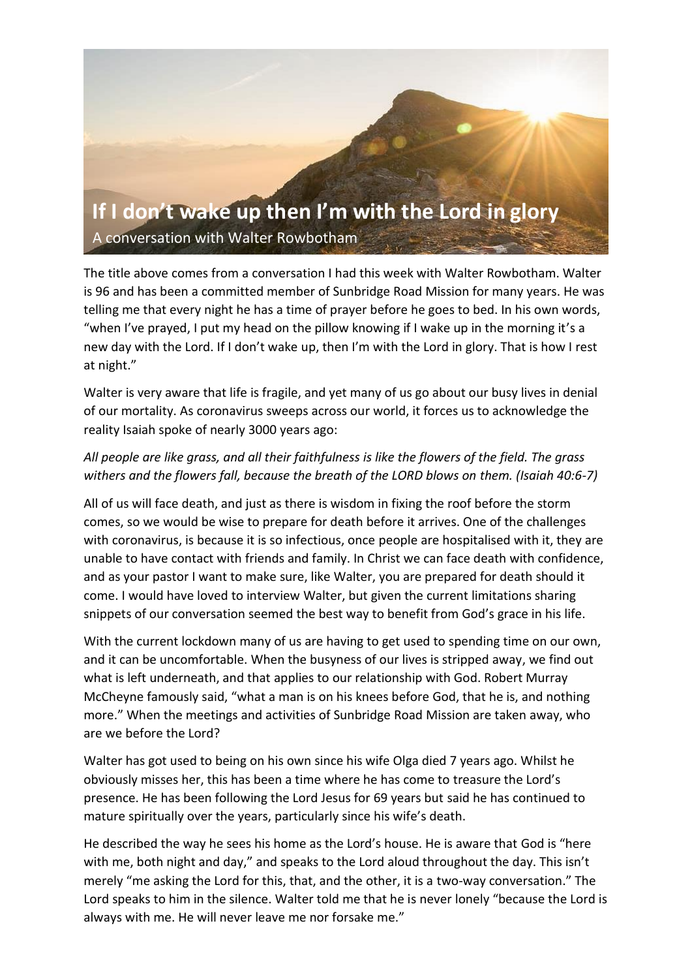

The title above comes from a conversation I had this week with Walter Rowbotham. Walter is 96 and has been a committed member of Sunbridge Road Mission for many years. He was telling me that every night he has a time of prayer before he goes to bed. In his own words, "when I've prayed, I put my head on the pillow knowing if I wake up in the morning it's a new day with the Lord. If I don't wake up, then I'm with the Lord in glory. That is how I rest at night."

Walter is very aware that life is fragile, and yet many of us go about our busy lives in denial of our mortality. As coronavirus sweeps across our world, it forces us to acknowledge the reality Isaiah spoke of nearly 3000 years ago:

# *All people are like grass, and all their faithfulness is like the flowers of the field. The grass withers and the flowers fall, because the breath of the LORD blows on them. (Isaiah 40:6-7)*

All of us will face death, and just as there is wisdom in fixing the roof before the storm comes, so we would be wise to prepare for death before it arrives. One of the challenges with coronavirus, is because it is so infectious, once people are hospitalised with it, they are unable to have contact with friends and family. In Christ we can face death with confidence, and as your pastor I want to make sure, like Walter, you are prepared for death should it come. I would have loved to interview Walter, but given the current limitations sharing snippets of our conversation seemed the best way to benefit from God's grace in his life.

With the current lockdown many of us are having to get used to spending time on our own, and it can be uncomfortable. When the busyness of our lives is stripped away, we find out what is left underneath, and that applies to our relationship with God. Robert Murray McCheyne famously said, "what a man is on his knees before God, that he is, and nothing more." When the meetings and activities of Sunbridge Road Mission are taken away, who are we before the Lord?

Walter has got used to being on his own since his wife Olga died 7 years ago. Whilst he obviously misses her, this has been a time where he has come to treasure the Lord's presence. He has been following the Lord Jesus for 69 years but said he has continued to mature spiritually over the years, particularly since his wife's death.

He described the way he sees his home as the Lord's house. He is aware that God is "here with me, both night and day," and speaks to the Lord aloud throughout the day. This isn't merely "me asking the Lord for this, that, and the other, it is a two-way conversation." The Lord speaks to him in the silence. Walter told me that he is never lonely "because the Lord is always with me. He will never leave me nor forsake me."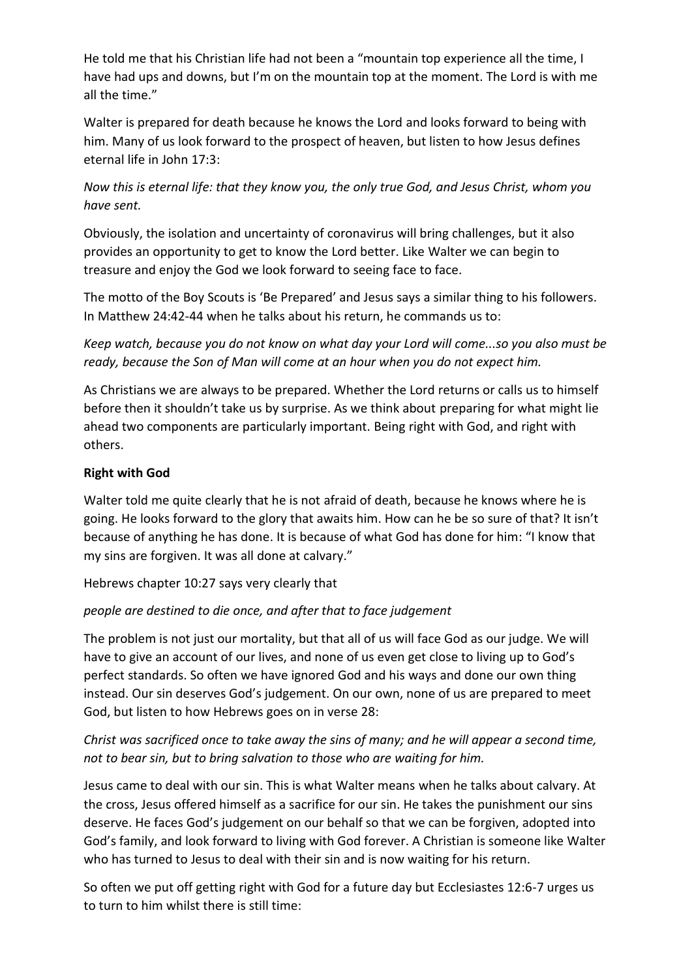He told me that his Christian life had not been a "mountain top experience all the time, I have had ups and downs, but I'm on the mountain top at the moment. The Lord is with me all the time."

Walter is prepared for death because he knows the Lord and looks forward to being with him. Many of us look forward to the prospect of heaven, but listen to how Jesus defines eternal life in John 17:3:

*Now this is eternal life: that they know you, the only true God, and Jesus Christ, whom you have sent.* 

Obviously, the isolation and uncertainty of coronavirus will bring challenges, but it also provides an opportunity to get to know the Lord better. Like Walter we can begin to treasure and enjoy the God we look forward to seeing face to face.

The motto of the Boy Scouts is 'Be Prepared' and Jesus says a similar thing to his followers. In Matthew 24:42-44 when he talks about his return, he commands us to:

*Keep watch, because you do not know on what day your Lord will come...so you also must be ready, because the Son of Man will come at an hour when you do not expect him.*

As Christians we are always to be prepared. Whether the Lord returns or calls us to himself before then it shouldn't take us by surprise. As we think about preparing for what might lie ahead two components are particularly important. Being right with God, and right with others.

### **Right with God**

Walter told me quite clearly that he is not afraid of death, because he knows where he is going. He looks forward to the glory that awaits him. How can he be so sure of that? It isn't because of anything he has done. It is because of what God has done for him: "I know that my sins are forgiven. It was all done at calvary."

Hebrews chapter 10:27 says very clearly that

# *people are destined to die once, and after that to face judgement*

The problem is not just our mortality, but that all of us will face God as our judge. We will have to give an account of our lives, and none of us even get close to living up to God's perfect standards. So often we have ignored God and his ways and done our own thing instead. Our sin deserves God's judgement. On our own, none of us are prepared to meet God, but listen to how Hebrews goes on in verse 28:

# *Christ was sacrificed once to take away the sins of many; and he will appear a second time, not to bear sin, but to bring salvation to those who are waiting for him.*

Jesus came to deal with our sin. This is what Walter means when he talks about calvary. At the cross, Jesus offered himself as a sacrifice for our sin. He takes the punishment our sins deserve. He faces God's judgement on our behalf so that we can be forgiven, adopted into God's family, and look forward to living with God forever. A Christian is someone like Walter who has turned to Jesus to deal with their sin and is now waiting for his return.

So often we put off getting right with God for a future day but Ecclesiastes 12:6-7 urges us to turn to him whilst there is still time: